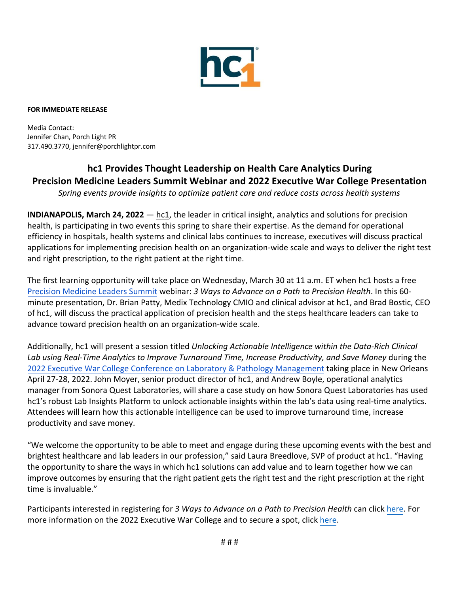

## **FOR IMMEDIATE RELEASE**

Media Contact: Jennifer Chan, Porch Light PR 317.490.3770, jennifer@porchlightpr.com

## **hc1 Provides Thought Leadership on Health Care Analytics During Precision Medicine Leaders Summit Webinar and 2022 Executive War College Presentation**

*Spring events provide insights to optimize patient care and reduce costs across health systems* 

**INDIANAPOLIS, March 24, 2022** — hc1, the leader in critical insight, analytics and solutions for precision health, is participating in two events this spring to share their expertise. As the demand for operational efficiency in hospitals, health systems and clinical labs continues to increase, executives will discuss practical applications for implementing precision health on an organization-wide scale and ways to deliver the right test and right prescription, to the right patient at the right time.

The first learning opportunity will take place on Wednesday, March 30 at 11 a.m. ET when hc1 hosts a free Precision Medicine Leaders Summit webinar: *3 Ways to Advance on a Path to Precision Health*. In this 60 minute presentation, Dr. Brian Patty, Medix Technology CMIO and clinical advisor at hc1, and Brad Bostic, CEO of hc1, will discuss the practical application of precision health and the steps healthcare leaders can take to advance toward precision health on an organization-wide scale.

Additionally, hc1 will present a session titled *Unlocking Actionable Intelligence within the Data-Rich Clinical Lab using Real-Time Analytics to Improve Turnaround Time, Increase Productivity, and Save Money* during the 2022 Executive War College Conference on Laboratory & Pathology Management taking place in New Orleans April 27-28, 2022. John Moyer, senior product director of hc1, and Andrew Boyle, operational analytics manager from Sonora Quest Laboratories, will share a case study on how Sonora Quest Laboratories has used hc1's robust Lab Insights Platform to unlock actionable insights within the lab's data using real-time analytics. Attendees will learn how this actionable intelligence can be used to improve turnaround time, increase productivity and save money.

"We welcome the opportunity to be able to meet and engage during these upcoming events with the best and brightest healthcare and lab leaders in our profession," said Laura Breedlove, SVP of product at hc1. "Having the opportunity to share the ways in which hc1 solutions can add value and to learn together how we can improve outcomes by ensuring that the right patient gets the right test and the right prescription at the right time is invaluable."

Participants interested in registering for *3 Ways to Advance on a Path to Precision Health* can click here. For more information on the 2022 Executive War College and to secure a spot, click here.